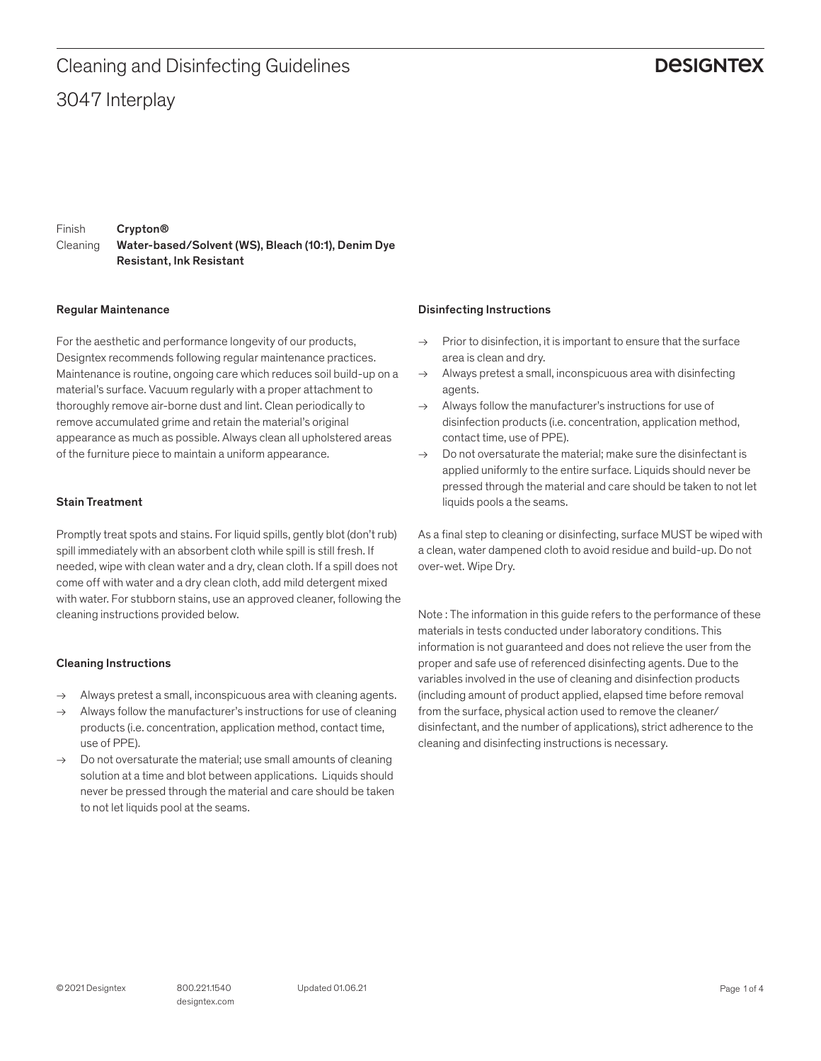### **DESIGNTEX**

Finish Cleaning Crypton® Water-based/Solvent (WS), Bleach (10:1), Denim Dye Resistant, Ink Resistant

### Regular Maintenance

For the aesthetic and performance longevity of our products, Designtex recommends following regular maintenance practices. Maintenance is routine, ongoing care which reduces soil build-up on a material's surface. Vacuum regularly with a proper attachment to thoroughly remove air-borne dust and lint. Clean periodically to remove accumulated grime and retain the material's original appearance as much as possible. Always clean all upholstered areas of the furniture piece to maintain a uniform appearance.

### Stain Treatment

Promptly treat spots and stains. For liquid spills, gently blot (don't rub) spill immediately with an absorbent cloth while spill is still fresh. If needed, wipe with clean water and a dry, clean cloth. If a spill does not come off with water and a dry clean cloth, add mild detergent mixed with water. For stubborn stains, use an approved cleaner, following the cleaning instructions provided below.

### Cleaning Instructions

- $\rightarrow$  Always pretest a small, inconspicuous area with cleaning agents.
- $\rightarrow$  Always follow the manufacturer's instructions for use of cleaning products (i.e. concentration, application method, contact time, use of PPE).
- $\rightarrow$  Do not oversaturate the material; use small amounts of cleaning solution at a time and blot between applications. Liquids should never be pressed through the material and care should be taken to not let liquids pool at the seams.

### Disinfecting Instructions

- $\rightarrow$  Prior to disinfection, it is important to ensure that the surface area is clean and dry.
- $\rightarrow$  Always pretest a small, inconspicuous area with disinfecting agents.
- $\rightarrow$  Always follow the manufacturer's instructions for use of disinfection products (i.e. concentration, application method, contact time, use of PPE).
- $\rightarrow$  Do not oversaturate the material: make sure the disinfectant is applied uniformly to the entire surface. Liquids should never be pressed through the material and care should be taken to not let liquids pools a the seams.

As a final step to cleaning or disinfecting, surface MUST be wiped with a clean, water dampened cloth to avoid residue and build-up. Do not over-wet. Wipe Dry.

Note : The information in this guide refers to the performance of these materials in tests conducted under laboratory conditions. This information is not guaranteed and does not relieve the user from the proper and safe use of referenced disinfecting agents. Due to the variables involved in the use of cleaning and disinfection products (including amount of product applied, elapsed time before removal from the surface, physical action used to remove the cleaner/ disinfectant, and the number of applications), strict adherence to the cleaning and disinfecting instructions is necessary.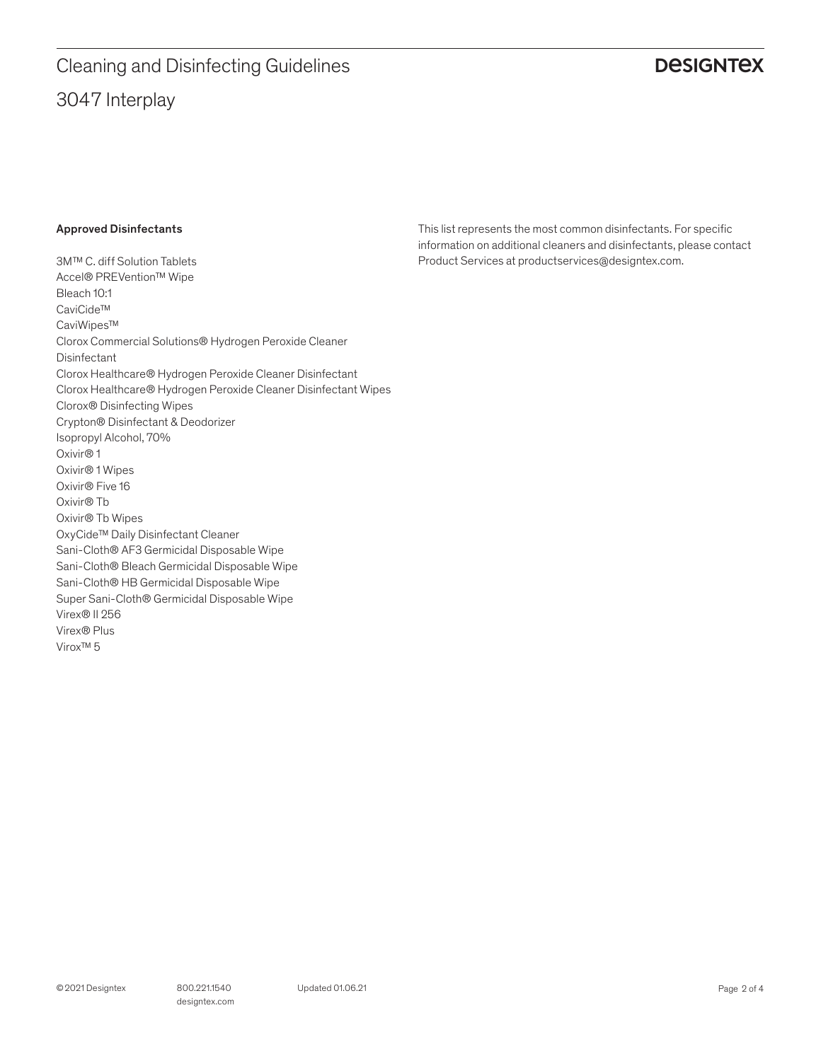## 3047 Interplay Cleaning and Disinfecting Guidelines

### **DESIGNTEX**

### Approved Disinfectants

3M™ C. diff Solution Tablets Accel® PREVention™ Wipe Bleach 10:1 CaviCide™ CaviWipes™ Clorox Commercial Solutions® Hydrogen Peroxide Cleaner Disinfectant Clorox Healthcare® Hydrogen Peroxide Cleaner Disinfectant Clorox Healthcare® Hydrogen Peroxide Cleaner Disinfectant Wipes Clorox® Disinfecting Wipes Crypton® Disinfectant & Deodorizer Isopropyl Alcohol, 70% Oxivir® 1 Oxivir® 1 Wipes Oxivir® Five 16 Oxivir® Tb Oxivir® Tb Wipes OxyCide™ Daily Disinfectant Cleaner Sani-Cloth® AF3 Germicidal Disposable Wipe Sani-Cloth® Bleach Germicidal Disposable Wipe Sani-Cloth® HB Germicidal Disposable Wipe Super Sani-Cloth® Germicidal Disposable Wipe Virex® II 256 Virex® Plus Virox™ 5

This list represents the most common disinfectants. For specific information on additional cleaners and disinfectants, please contact Product Services at productservices@designtex.com.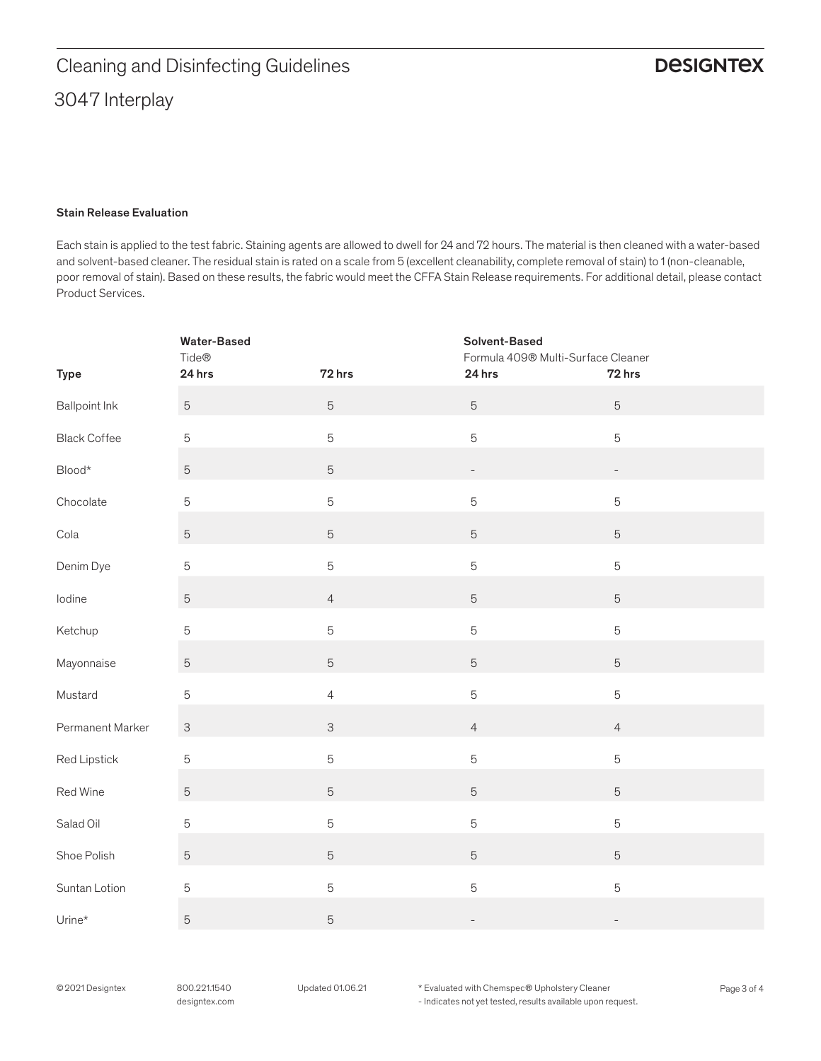### Stain Release Evaluation

Each stain is applied to the test fabric. Staining agents are allowed to dwell for 24 and 72 hours. The material is then cleaned with a water-based and solvent-based cleaner. The residual stain is rated on a scale from 5 (excellent cleanability, complete removal of stain) to 1 (non-cleanable, poor removal of stain). Based on these results, the fabric would meet the CFFA Stain Release requirements. For additional detail, please contact Product Services.

|                            | <b>Water-Based</b><br>Tide® |                | Solvent-Based<br>Formula 409® Multi-Surface Cleaner |                          |
|----------------------------|-----------------------------|----------------|-----------------------------------------------------|--------------------------|
| <b>Type</b>                | 24 hrs                      | 72 hrs         | 24 hrs                                              | 72 hrs                   |
| <b>Ballpoint Ink</b>       | $\mathbf 5$                 | 5              | $\sqrt{5}$                                          | $\sqrt{5}$               |
| <b>Black Coffee</b>        | $\mathbf 5$                 | 5              | $\overline{5}$                                      | $\mathbf 5$              |
| $\mathsf{Blood}{}^{\star}$ | $\mathbf 5$                 | $\sqrt{5}$     | $\qquad \qquad -$                                   | $\overline{\phantom{0}}$ |
| Chocolate                  | $\mathbf 5$                 | 5              | $\mathbf 5$                                         | $\mathbf 5$              |
| Cola                       | $\mathbf 5$                 | $\sqrt{5}$     | $\mathbf 5$                                         | $\sqrt{5}$               |
| Denim Dye                  | $\mathbf 5$                 | 5              | $\mathbf 5$                                         | $\mathbf 5$              |
| lodine                     | $\mathbf 5$                 | $\overline{4}$ | $\mathbf 5$                                         | $\sqrt{5}$               |
| Ketchup                    | $\mathbf 5$                 | 5              | $\mathbf 5$                                         | $\mathbf 5$              |
| Mayonnaise                 | $\mathbf 5$                 | $\sqrt{5}$     | $\mathbf 5$                                         | $\sqrt{5}$               |
| Mustard                    | $\mathbf 5$                 | $\overline{4}$ | $\mathbf 5$                                         | $\mathbf 5$              |
| Permanent Marker           | $\ensuremath{\mathsf{3}}$   | $\mathsf{3}$   | $\overline{4}$                                      | $\overline{4}$           |
| Red Lipstick               | 5                           | 5              | $\mathbf 5$                                         | $\mathbf 5$              |
| Red Wine                   | $\mathbf 5$                 | $\sqrt{5}$     | $\mathbf 5$                                         | $\sqrt{5}$               |
| Salad Oil                  | 5                           | 5              | $\mathbf 5$                                         | $\mathbf 5$              |
| Shoe Polish                | $\mathbf 5$                 | $\sqrt{5}$     | $\mathbf 5$                                         | $\sqrt{5}$               |
| Suntan Lotion              | 5                           | 5              | $\mathbf 5$                                         | $\mathbf 5$              |
| Urine*                     | $\mathbf 5$                 | $\mathbf 5$    | $\overline{\phantom{0}}$                            | $\overline{\phantom{a}}$ |

© 2021 Designtex 800.221.1540 Updated 01.06.21 \* Evaluated with Chemspec® Upholstery Cleaner Page 3 of 4 - Indicates not yet tested, results available upon request.